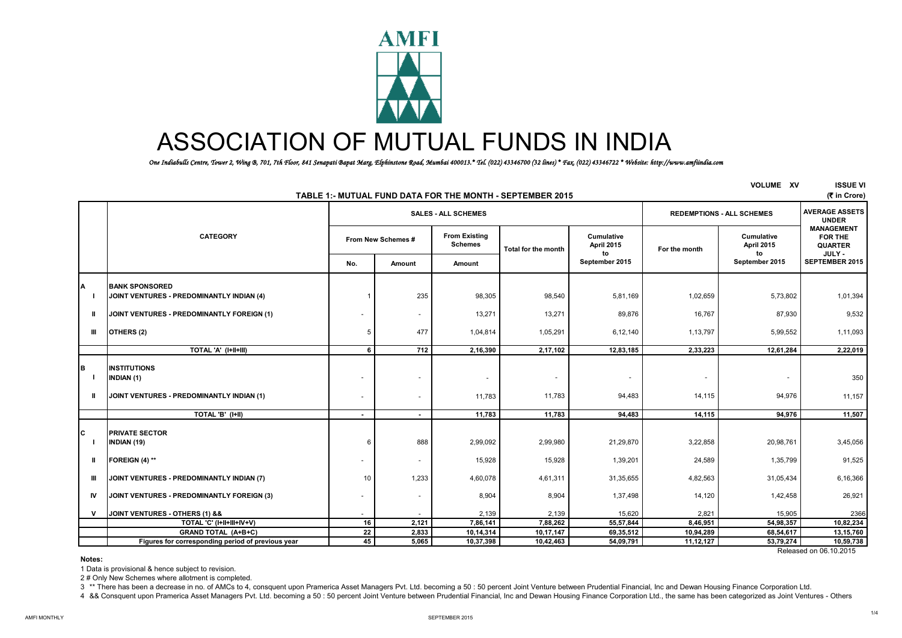

# ASSOCIATION OF MUTUAL FUNDS IN INDIA

 *One Indiabulls Centre, Tower 2, Wing B, 701, 7th Floor, 841 Senapati Bapat Marg, Elphinstone Road, Mumbai 400013.\* Tel. (022) 43346700 (32 lines) \* Fax. (022) 43346722 \* Website: http://www.amfiindia.com*

| <b>VOLUME XV</b><br>TABLE 1:- MUTUAL FUND DATA FOR THE MONTH - SEPTEMBER 2015 |                                                   |                          |                          |                                        |                     |                                |               |                                  |                                                                 |  |
|-------------------------------------------------------------------------------|---------------------------------------------------|--------------------------|--------------------------|----------------------------------------|---------------------|--------------------------------|---------------|----------------------------------|-----------------------------------------------------------------|--|
|                                                                               |                                                   |                          |                          | <b>SALES - ALL SCHEMES</b>             |                     |                                |               | <b>REDEMPTIONS - ALL SCHEMES</b> | <b>AVERAGE ASSETS</b><br><b>UNDER</b>                           |  |
|                                                                               | <b>CATEGORY</b>                                   |                          | From New Schemes #       | <b>From Existing</b><br><b>Schemes</b> | Total for the month | Cumulative<br>April 2015<br>to | For the month | Cumulative<br>April 2015<br>to   | <b>MANAGEMENT</b><br><b>FOR THE</b><br><b>QUARTER</b><br>JULY - |  |
|                                                                               |                                                   | No.                      | Amount                   | Amount                                 |                     | September 2015                 |               | September 2015                   | <b>SEPTEMBER 2015</b>                                           |  |
| A                                                                             | <b>BANK SPONSORED</b>                             |                          |                          |                                        |                     |                                |               |                                  |                                                                 |  |
|                                                                               | JOINT VENTURES - PREDOMINANTLY INDIAN (4)         |                          | 235                      | 98,305                                 | 98,540              | 5,81,169                       | 1,02,659      | 5,73,802                         | 1,01,394                                                        |  |
| $\mathbf{u}$                                                                  | JOINT VENTURES - PREDOMINANTLY FOREIGN (1)        |                          | $\sim$                   | 13,271                                 | 13,271              | 89,876                         | 16,767        | 87,930                           | 9,532                                                           |  |
| Ш                                                                             | OTHERS (2)                                        |                          | 477                      | 1,04,814                               | 1,05,291            | 6,12,140                       | 1,13,797      | 5,99,552                         | 1,11,093                                                        |  |
|                                                                               | TOTAL 'A' (I+II+III)                              | 6                        | 712                      | 2,16,390                               | 2,17,102            | 12,83,185                      | 2,33,223      | 12,61,284                        | 2,22,019                                                        |  |
| в                                                                             | <b>INSTITUTIONS</b><br><b>INDIAN (1)</b>          |                          | ۰                        |                                        |                     | ٠                              |               |                                  | 350                                                             |  |
| $\mathbf{u}$                                                                  | JOINT VENTURES - PREDOMINANTLY INDIAN (1)         | $\overline{\phantom{a}}$ | ۰                        | 11,783                                 | 11,783              | 94,483                         | 14,115        | 94,976                           | 11,157                                                          |  |
|                                                                               | TOTAL 'B' (I+II)                                  | $\overline{\phantom{a}}$ | $\blacksquare$           | 11,783                                 | 11,783              | 94,483                         | 14,115        | 94,976                           | 11,507                                                          |  |
| C                                                                             | <b>PRIVATE SECTOR</b><br>INDIAN (19)              |                          | 888                      | 2,99,092                               | 2,99,980            | 21,29,870                      | 3,22,858      | 20,98,761                        | 3,45,056                                                        |  |
| Ш                                                                             | FOREIGN (4) **                                    |                          | $\overline{\phantom{a}}$ | 15,928                                 | 15,928              | 1,39,201                       | 24,589        | 1,35,799                         | 91,525                                                          |  |
| Ш                                                                             | JOINT VENTURES - PREDOMINANTLY INDIAN (7)         | 10                       | 1,233                    | 4,60,078                               | 4,61,311            | 31,35,655                      | 4,82,563      | 31,05,434                        | 6,16,366                                                        |  |
| IV.                                                                           | JOINT VENTURES - PREDOMINANTLY FOREIGN (3)        |                          | ۰                        | 8,904                                  | 8,904               | 1,37,498                       | 14,120        | 1,42,458                         | 26,921                                                          |  |
| v                                                                             | JOINT VENTURES - OTHERS (1) &&                    |                          |                          | 2,139                                  | 2,139               | 15,620                         | 2,821         | 15,905                           | 2366                                                            |  |
|                                                                               | TOTAL 'C' (I+II+III+IV+V)                         | 16                       | 2,121                    | 7,86,141                               | 7,88,262            | 55,57,844                      | 8,46,951      | 54,98,357                        | 10,82,234                                                       |  |
|                                                                               | <b>GRAND TOTAL (A+B+C)</b>                        | 22                       | 2,833                    | 10,14,314                              | 10,17,147           | 69,35,512                      | 10,94,289     | 68,54,617                        | 13,15,760                                                       |  |
|                                                                               | Figures for corresponding period of previous year | 45                       | 5,065                    | 10,37,398                              | 10,42,463           | 54,09,791                      | 11, 12, 127   | 53,79,274                        | 10,59,738                                                       |  |

#### Released on 06.10.2015

**Notes:**

1 Data is provisional & hence subject to revision.

2 # Only New Schemes where allotment is completed.

3 \*\* There has been a decrease in no. of AMCs to 4, consquent upon Pramerica Asset Managers Pvt. Ltd. becoming a 50 : 50 percent Joint Venture between Prudential Financial, Inc and Dewan Housing Finance Corporation Ltd.

4 && Consquent upon Pramerica Asset Managers Pvt. Ltd. becoming a 50 : 50 percent Joint Venture between Prudential Financial, Inc and Dewan Housing Finance Corporation Ltd., the same has been categorized as Joint Ventures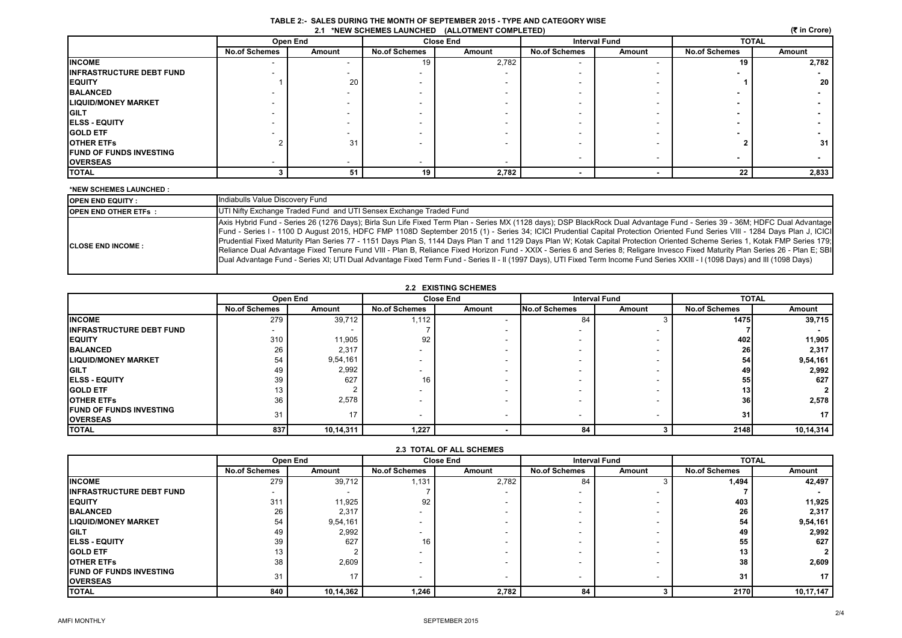| TABLE 2:- SALES DURING THE MONTH OF SEPTEMBER 2015 - TYPE AND CATEGORY WISE |
|-----------------------------------------------------------------------------|
| 2.1 *NEW SCHEMES LAUNCHED (ALLOTMENT COMPLETED)                             |

|  |  | (そ in Crore) |
|--|--|--------------|
|--|--|--------------|

| 2.1 *NEW SCHEMES LAUNCHED (ALLOTMENT COMPLETED)<br>(र in Crore) |                      |          |                      |                  |                      |        |                      |        |  |
|-----------------------------------------------------------------|----------------------|----------|----------------------|------------------|----------------------|--------|----------------------|--------|--|
|                                                                 |                      | Open End |                      | <b>Close End</b> | <b>Interval Fund</b> |        | <b>TOTAL</b>         |        |  |
|                                                                 | <b>No.of Schemes</b> | Amount   | <b>No.of Schemes</b> | Amount           | <b>No.of Schemes</b> | Amount | <b>No.of Schemes</b> | Amount |  |
| <b>INCOME</b>                                                   |                      |          | 19                   | 2,782            |                      |        | 19                   | 2,782  |  |
| <b>IINFRASTRUCTURE DEBT FUND</b>                                |                      |          |                      |                  |                      |        |                      |        |  |
| <b>EQUITY</b>                                                   |                      | 20       |                      |                  |                      |        |                      | 20     |  |
| <b>BALANCED</b>                                                 |                      |          |                      |                  |                      |        |                      |        |  |
| <b>LIQUID/MONEY MARKET</b>                                      |                      |          |                      |                  |                      |        |                      |        |  |
| <b>GILT</b>                                                     |                      |          |                      |                  |                      |        |                      |        |  |
| <b>ELSS - EQUITY</b>                                            |                      |          |                      |                  |                      |        |                      |        |  |
| <b>GOLD ETF</b>                                                 |                      |          |                      |                  |                      |        |                      |        |  |
| <b>OTHER ETFS</b>                                               |                      | 31       |                      |                  |                      |        |                      | 31     |  |
| <b>IFUND OF FUNDS INVESTING</b>                                 |                      |          |                      |                  |                      |        |                      |        |  |
| <b>OVERSEAS</b>                                                 |                      |          |                      |                  |                      |        |                      |        |  |
| <b>TOTAL</b>                                                    |                      | 51       | 19                   | 2,782            |                      |        | 22                   | 2,833  |  |

#### **\*NEW SCHEMES LAUNCHED :**

| <b>IOPEN END EQUITY :</b>   | Indiabulls Value Discovery Fund                                                                                                                                                                                                                                                                                                                                                                                                                                                                                                                                                                                                                                                                                                                                                                                                                                                                                  |
|-----------------------------|------------------------------------------------------------------------------------------------------------------------------------------------------------------------------------------------------------------------------------------------------------------------------------------------------------------------------------------------------------------------------------------------------------------------------------------------------------------------------------------------------------------------------------------------------------------------------------------------------------------------------------------------------------------------------------------------------------------------------------------------------------------------------------------------------------------------------------------------------------------------------------------------------------------|
| <b>OPEN END OTHER ETFS:</b> | UTI Nifty Exchange Traded Fund and UTI Sensex Exchange Traded Fund                                                                                                                                                                                                                                                                                                                                                                                                                                                                                                                                                                                                                                                                                                                                                                                                                                               |
| <b>ICLOSE END INCOME:</b>   | Axis Hybrid Fund - Series 26 (1276 Days); Birla Sun Life Fixed Term Plan - Series MX (1128 days); DSP BlackRock Dual Advantage Fund - Series 39 - 36M; HDFC Dual Advantage<br>Fund - Series I - 1100 D August 2015, HDFC FMP 1108D September 2015 (1) - Series 34; ICICI Prudential Capital Protection Oriented Fund Series VIII - 1284 Days Plan J, ICICI<br>Prudential Fixed Maturity Plan Series 77 - 1151 Days Plan S, 1144 Days Plan T and 1129 Days Plan W; Kotak Capital Protection Oriented Scheme Series 1, Kotak FMP Series 179;<br>Reliance Dual Advantage Fixed Tenure Fund VIII - Plan B, Reliance Fixed Horizon Fund - XXIX - Series 6 and Series 8; Religare Invesco Fixed Maturity Plan Series 26 - Plan E; SBI<br>Dual Advantage Fund - Series XI; UTI Dual Advantage Fixed Term Fund - Series II - II (1997 Days), UTI Fixed Term Income Fund Series XXIII - I (1098 Days) and III (1098 Days) |

### **2.2 EXISTING SCHEMES**

|                                                    | Open End             |           |                      | <b>Close End</b> | <b>Interval Fund</b> |        | <b>TOTAL</b>         |           |
|----------------------------------------------------|----------------------|-----------|----------------------|------------------|----------------------|--------|----------------------|-----------|
|                                                    | <b>No.of Schemes</b> | Amount    | <b>No.of Schemes</b> | Amount           | <b>No.of Schemes</b> | Amount | <b>No.of Schemes</b> | Amount    |
| <b>INCOME</b>                                      | 279                  | 39,712    | 1,112                |                  | 84                   |        | 1475                 | 39,715    |
| <b>IINFRASTRUCTURE DEBT FUND</b>                   |                      |           |                      |                  |                      |        |                      |           |
| <b>EQUITY</b>                                      | 310                  | 11,905    | 92                   |                  |                      |        | 402                  | 11,905    |
| <b>BALANCED</b>                                    | 26                   | 2,317     |                      |                  |                      |        | 26                   | 2,317     |
| <b>LIQUID/MONEY MARKET</b>                         | 54                   | 9,54,161  |                      |                  |                      |        | 54                   | 9,54,161  |
| <b>GILT</b>                                        | 49                   | 2,992     |                      |                  |                      |        | 49                   | 2,992     |
| <b>ELSS - EQUITY</b>                               | 39                   | 627       | 16                   |                  |                      |        | 55                   | 627       |
| <b>IGOLD ETF</b>                                   | 13                   |           |                      |                  |                      |        | 13                   |           |
| <b>OTHER ETFS</b>                                  | 36                   | 2,578     |                      |                  |                      |        | 36                   | 2,578     |
| <b>IFUND OF FUNDS INVESTING</b><br><b>OVERSEAS</b> | 31                   | 17        |                      |                  |                      |        | 31                   | 17        |
| <b>TOTAL</b>                                       | 837                  | 10,14,311 | 1,227                |                  | 84                   |        | 2148                 | 10,14,314 |

| <b>2.3 TOTAL OF ALL SCHEMES</b> |                      |           |                      |                  |                      |        |                      |                |  |
|---------------------------------|----------------------|-----------|----------------------|------------------|----------------------|--------|----------------------|----------------|--|
|                                 |                      | Open End  |                      | <b>Close End</b> | <b>Interval Fund</b> |        |                      | <b>TOTAL</b>   |  |
|                                 | <b>No.of Schemes</b> | Amount    | <b>No.of Schemes</b> | Amount           | <b>No.of Schemes</b> | Amount | <b>No.of Schemes</b> | Amount         |  |
| <b>INCOME</b>                   | 279                  | 39,712    | 1,131                | 2,782            | 84                   |        | 1.494                | 42,497         |  |
| <b>INFRASTRUCTURE DEBT FUND</b> | ۰                    |           |                      |                  |                      |        |                      |                |  |
| <b>EQUITY</b>                   | 311                  | 11,925    | 92                   |                  |                      |        | 403                  | 11,925         |  |
| <b>BALANCED</b>                 | 26                   | 2,317     |                      |                  |                      |        | 26                   | 2,317          |  |
| <b>LIQUID/MONEY MARKET</b>      | 54                   | 9,54,161  |                      |                  |                      |        | 54                   | 9,54,161       |  |
| <b>GILT</b>                     | 49                   | 2,992     | . .                  |                  |                      |        | 49                   | 2,992          |  |
| <b>IELSS - EQUITY</b>           | 39                   | 627       | 16                   |                  |                      |        | 55                   | 627            |  |
| <b>GOLD ETF</b>                 | 13                   |           |                      |                  |                      |        | 13                   | $\overline{2}$ |  |
| <b>OTHER ETFS</b>               | 38                   | 2,609     | . .                  |                  |                      |        | 38                   | 2,609          |  |
| <b>IFUND OF FUNDS INVESTING</b> | 31                   | 17        | . .                  | ۰.               |                      |        | 31                   | 17             |  |
| <b>OVERSEAS</b>                 |                      |           |                      |                  |                      |        |                      |                |  |
| <b>TOTAL</b>                    | 840                  | 10,14,362 | 1,246                | 2,782            | 84                   |        | <b>2170</b>          | 10,17,147      |  |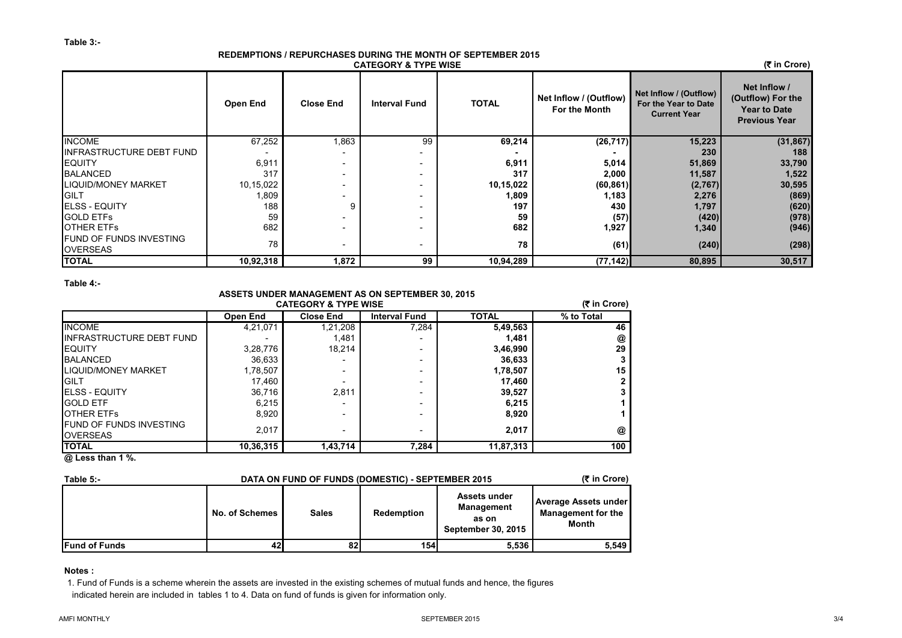#### **REDEMPTIONS / REPURCHASES DURING THE MONTH OF SEPTEMBER 2015 CATEGORY & TYPE WISE**

 **(**` **in Crore)**

|                                            | Open End  | <b>Close End</b>         | <b>Interval Fund</b> | <b>TOTAL</b> | Net Inflow / (Outflow)<br>For the Month | Net Inflow / (Outflow)<br>For the Year to Date<br><b>Current Year</b> | Net Inflow /<br>(Outflow) For the<br><b>Year to Date</b><br><b>Previous Year</b> |
|--------------------------------------------|-----------|--------------------------|----------------------|--------------|-----------------------------------------|-----------------------------------------------------------------------|----------------------------------------------------------------------------------|
| <b>INCOME</b>                              | 67,252    | 1,863                    | 99                   | 69,214       | (26, 717)                               | 15,223                                                                | (31, 867)                                                                        |
| INFRASTRUCTURE DEBT FUND                   |           | -                        |                      |              |                                         | 230                                                                   | 188                                                                              |
| <b>EQUITY</b>                              | 6,911     | $\overline{\phantom{a}}$ |                      | 6,911        | 5,014                                   | 51,869                                                                | 33,790                                                                           |
| <b>BALANCED</b>                            | 317       | $\overline{\phantom{a}}$ |                      | 317          | 2,000                                   | 11,587                                                                | 1,522                                                                            |
| <b>LIQUID/MONEY MARKET</b>                 | 10,15,022 | $\overline{\phantom{a}}$ |                      | 10,15,022    | (60, 861)                               | (2,767)                                                               | 30,595                                                                           |
| <b>IGILT</b>                               | 1,809     | $\overline{\phantom{0}}$ |                      | 1,809        | 1,183                                   | 2,276                                                                 | (869)                                                                            |
| <b>IELSS - EQUITY</b>                      | 188       | g                        |                      | 197          | 430                                     | 1,797                                                                 | (620)                                                                            |
| <b>GOLD ETFS</b>                           | 59        | $\overline{\phantom{0}}$ |                      | 59           | (57)                                    | (420)                                                                 | (978)                                                                            |
| <b>OTHER ETFS</b>                          | 682       | $\overline{\phantom{0}}$ |                      | 682          | 1,927                                   | 1,340                                                                 | (946)                                                                            |
| FUND OF FUNDS INVESTING<br><b>OVERSEAS</b> | 78        | $\overline{\phantom{a}}$ |                      | 78           | (61)                                    | (240)                                                                 | (298)                                                                            |
| <b>TOTAL</b>                               | 10,92,318 | 1,872                    | 99                   | 10,94,289    | (77, 142)                               | 80,895                                                                | 30,517                                                                           |

**Table 4:-**

## **ASSETS UNDER MANAGEMENT AS ON SEPTEMBER 30, 2015**

| Open End  |                  |                          | <b>CATEGORY &amp; TYPE WISE</b> |            |  |  |  |  |  |  |  |  |
|-----------|------------------|--------------------------|---------------------------------|------------|--|--|--|--|--|--|--|--|
|           | <b>Close End</b> | <b>Interval Fund</b>     | <b>TOTAL</b>                    | % to Total |  |  |  |  |  |  |  |  |
| 4,21,071  | 1,21,208         | 7.284                    | 5,49,563                        | 46         |  |  |  |  |  |  |  |  |
|           | 1,481            |                          | 1,481                           | @          |  |  |  |  |  |  |  |  |
| 3,28,776  | 18.214           |                          | 3,46,990                        | 29         |  |  |  |  |  |  |  |  |
| 36,633    |                  | -                        | 36,633                          | 3          |  |  |  |  |  |  |  |  |
| 1,78,507  |                  | $\overline{\phantom{0}}$ | 1,78,507                        | 15         |  |  |  |  |  |  |  |  |
| 17,460    |                  | $\overline{\phantom{0}}$ | 17,460                          | 2          |  |  |  |  |  |  |  |  |
| 36.716    | 2.811            | -                        | 39,527                          | 3          |  |  |  |  |  |  |  |  |
| 6,215     |                  | -                        | 6,215                           |            |  |  |  |  |  |  |  |  |
| 8,920     | -                | -                        | 8,920                           |            |  |  |  |  |  |  |  |  |
| 2.017     | -                | $\overline{\phantom{0}}$ | 2,017                           | @          |  |  |  |  |  |  |  |  |
| 10,36,315 | 1,43,714         | 7,284                    | 11,87,313                       | 100        |  |  |  |  |  |  |  |  |
|           |                  |                          |                                 |            |  |  |  |  |  |  |  |  |

**@ Less than 1 %.**

| Table $5$ :-         | (₹ in Crore)<br>DATA ON FUND OF FUNDS (DOMESTIC) - SEPTEMBER 2015 |              |                   |                                                                         |                                                            |  |  |  |
|----------------------|-------------------------------------------------------------------|--------------|-------------------|-------------------------------------------------------------------------|------------------------------------------------------------|--|--|--|
|                      | No. of Schemes                                                    | <b>Sales</b> | <b>Redemption</b> | Assets under<br><b>Management</b><br>as on<br><b>September 30, 2015</b> | Average Assets under<br><b>Management for the</b><br>Month |  |  |  |
| <b>Fund of Funds</b> | 42                                                                | 82           | <b>154</b>        | 5,536                                                                   | 5.549                                                      |  |  |  |

## **Notes :**

1. Fund of Funds is a scheme wherein the assets are invested in the existing schemes of mutual funds and hence, the figures indicated herein are included in tables 1 to 4. Data on fund of funds is given for information only.